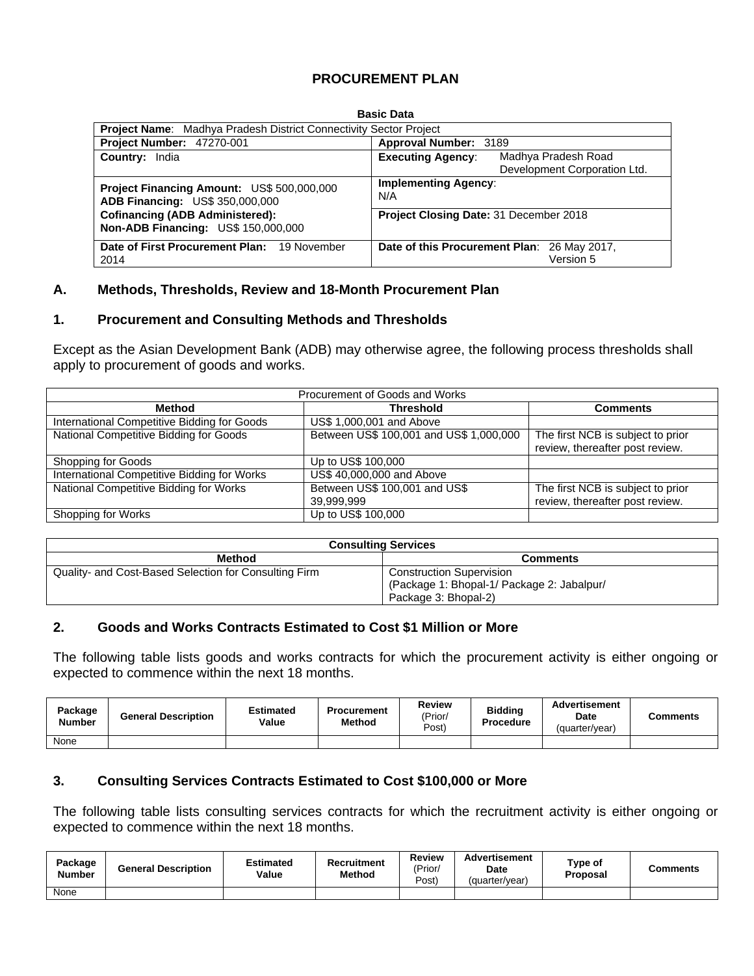## **PROCUREMENT PLAN**

| <b>Basic Data</b>                                                                    |                                                                                     |  |  |  |  |  |  |  |  |
|--------------------------------------------------------------------------------------|-------------------------------------------------------------------------------------|--|--|--|--|--|--|--|--|
|                                                                                      | <b>Project Name:</b> Madhya Pradesh District Connectivity Sector Project            |  |  |  |  |  |  |  |  |
| <b>Project Number: 47270-001</b><br>Approval Number: 3189                            |                                                                                     |  |  |  |  |  |  |  |  |
| <b>Country: India</b>                                                                | Madhya Pradesh Road<br><b>Executing Agency:</b>                                     |  |  |  |  |  |  |  |  |
|                                                                                      | Development Corporation Ltd.                                                        |  |  |  |  |  |  |  |  |
| Project Financing Amount: US\$ 500,000,000<br><b>ADB Financing: US\$ 350,000,000</b> | <b>Implementing Agency:</b><br>N/A<br><b>Project Closing Date: 31 December 2018</b> |  |  |  |  |  |  |  |  |
| <b>Cofinancing (ADB Administered):</b><br><b>Non-ADB Financing: US\$ 150,000,000</b> |                                                                                     |  |  |  |  |  |  |  |  |
| Date of First Procurement Plan: 19 November<br>2014                                  | Date of this Procurement Plan: 26 May 2017,<br>Version 5                            |  |  |  |  |  |  |  |  |

# **Basic Data**

#### **A. Methods, Thresholds, Review and 18-Month Procurement Plan**

### **1. Procurement and Consulting Methods and Thresholds**

Except as the Asian Development Bank (ADB) may otherwise agree, the following process thresholds shall apply to procurement of goods and works.

| Procurement of Goods and Works              |                                             |                                                                      |  |  |  |  |  |  |  |
|---------------------------------------------|---------------------------------------------|----------------------------------------------------------------------|--|--|--|--|--|--|--|
| Method                                      | <b>Threshold</b>                            | <b>Comments</b>                                                      |  |  |  |  |  |  |  |
| International Competitive Bidding for Goods | US\$ 1,000,001 and Above                    |                                                                      |  |  |  |  |  |  |  |
| National Competitive Bidding for Goods      | Between US\$ 100,001 and US\$ 1,000,000     | The first NCB is subject to prior<br>review, thereafter post review. |  |  |  |  |  |  |  |
| Shopping for Goods                          | Up to US\$ 100,000                          |                                                                      |  |  |  |  |  |  |  |
| International Competitive Bidding for Works | US\$ 40,000,000 and Above                   |                                                                      |  |  |  |  |  |  |  |
| National Competitive Bidding for Works      | Between US\$ 100,001 and US\$<br>39,999,999 | The first NCB is subject to prior<br>review, thereafter post review. |  |  |  |  |  |  |  |
| Shopping for Works                          | Up to US\$ 100,000                          |                                                                      |  |  |  |  |  |  |  |

| <b>Consulting Services</b>                            |                                            |  |  |  |  |  |
|-------------------------------------------------------|--------------------------------------------|--|--|--|--|--|
| <b>Method</b>                                         | <b>Comments</b>                            |  |  |  |  |  |
| Quality- and Cost-Based Selection for Consulting Firm | <b>Construction Supervision</b>            |  |  |  |  |  |
|                                                       | (Package 1: Bhopal-1/ Package 2: Jabalpur/ |  |  |  |  |  |
|                                                       | Package 3: Bhopal-2)                       |  |  |  |  |  |

### **2. Goods and Works Contracts Estimated to Cost \$1 Million or More**

The following table lists goods and works contracts for which the procurement activity is either ongoing or expected to commence within the next 18 months.

| Package<br><b>Number</b> | <b>General Description</b> | Estimated<br>Value | <b>Procurement</b><br><b>Method</b> | <b>Review</b><br>'Prior/<br>Post) | <b>Bidding</b><br>Procedure | <b>Advertisement</b><br><b>Date</b><br>(quarter/year) | Comments |
|--------------------------|----------------------------|--------------------|-------------------------------------|-----------------------------------|-----------------------------|-------------------------------------------------------|----------|
| None                     |                            |                    |                                     |                                   |                             |                                                       |          |

### **3. Consulting Services Contracts Estimated to Cost \$100,000 or More**

The following table lists consulting services contracts for which the recruitment activity is either ongoing or expected to commence within the next 18 months.

| Package<br><b>Number</b> | <b>General Description</b> | Estimated<br>Value | Recruitment<br>Method | <b>Review</b><br>'Prior/<br>Post) | <b>Advertisement</b><br>Date<br>(quarter/year) | Type of<br>Proposal | <b>Comments</b> |
|--------------------------|----------------------------|--------------------|-----------------------|-----------------------------------|------------------------------------------------|---------------------|-----------------|
| None                     |                            |                    |                       |                                   |                                                |                     |                 |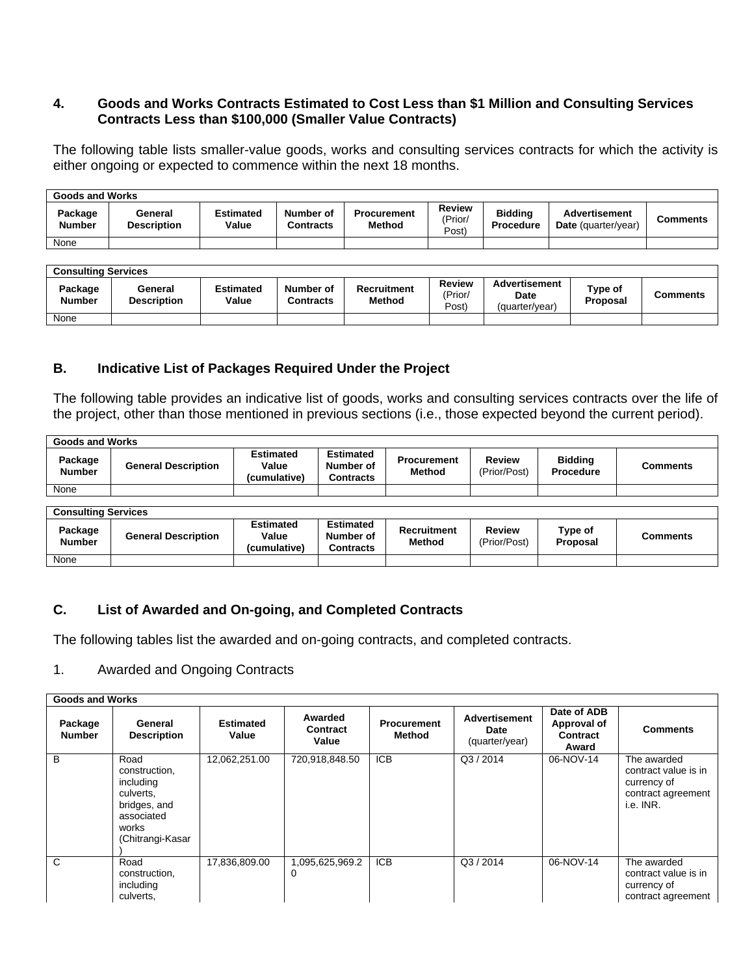## **4. Goods and Works Contracts Estimated to Cost Less than \$1 Million and Consulting Services Contracts Less than \$100,000 (Smaller Value Contracts)**

The following table lists smaller-value goods, works and consulting services contracts for which the activity is either ongoing or expected to commence within the next 18 months.

| <b>Goods and Works</b> |                               |                           |                               |                                     |                                   |                                    |                                                    |                 |  |  |
|------------------------|-------------------------------|---------------------------|-------------------------------|-------------------------------------|-----------------------------------|------------------------------------|----------------------------------------------------|-----------------|--|--|
| Package<br>Number      | General<br><b>Description</b> | <b>Estimated</b><br>Value | Number of<br><b>Contracts</b> | <b>Procurement</b><br><b>Method</b> | <b>Review</b><br>'Prior/<br>(Post | <b>Biddina</b><br><b>Procedure</b> | <b>Advertisement</b><br><b>Date</b> (quarter/year) | <b>Comments</b> |  |  |
| None                   |                               |                           |                               |                                     |                                   |                                    |                                                    |                 |  |  |

| <b>Consulting Services</b> |                               |                           |                               |                              |                                   |                                         |                     |          |  |  |
|----------------------------|-------------------------------|---------------------------|-------------------------------|------------------------------|-----------------------------------|-----------------------------------------|---------------------|----------|--|--|
| Package<br><b>Number</b>   | General<br><b>Description</b> | <b>Estimated</b><br>Value | Number of<br><b>Contracts</b> | <b>Recruitment</b><br>Method | <b>Review</b><br>(Prior/<br>Post) | Advertisement<br>Date<br>(quarter/year) | Type of<br>Proposal | Comments |  |  |
| None                       |                               |                           |                               |                              |                                   |                                         |                     |          |  |  |

## **B. Indicative List of Packages Required Under the Project**

The following table provides an indicative list of goods, works and consulting services contracts over the life of the project, other than those mentioned in previous sections (i.e., those expected beyond the current period).

| <b>Goods and Works</b>   |                            |                                           |                                            |                                     |                        |                                    |          |  |  |
|--------------------------|----------------------------|-------------------------------------------|--------------------------------------------|-------------------------------------|------------------------|------------------------------------|----------|--|--|
| Package<br><b>Number</b> | <b>General Description</b> | <b>Estimated</b><br>Value<br>(cumulative) | <b>Estimated</b><br>Number of<br>Contracts | <b>Procurement</b><br><b>Method</b> | Review<br>(Prior/Post) | <b>Bidding</b><br><b>Procedure</b> | Comments |  |  |
| None                     |                            |                                           |                                            |                                     |                        |                                    |          |  |  |
|                          |                            |                                           |                                            |                                     |                        |                                    |          |  |  |

| <b>Consulting Services</b> |                            |                                           |                                            |                                     |                               |                     |          |  |  |
|----------------------------|----------------------------|-------------------------------------------|--------------------------------------------|-------------------------------------|-------------------------------|---------------------|----------|--|--|
| Package<br><b>Number</b>   | <b>General Description</b> | <b>Estimated</b><br>Value<br>(cumulative) | <b>Estimated</b><br>Number of<br>Contracts | <b>Recruitment</b><br><b>Method</b> | <b>Review</b><br>(Prior/Post) | Type of<br>Proposal | Comments |  |  |
| None                       |                            |                                           |                                            |                                     |                               |                     |          |  |  |

# **C. List of Awarded and On-going, and Completed Contracts**

The following tables list the awarded and on-going contracts, and completed contracts.

### 1. Awarded and Ongoing Contracts

|                          | <b>Goods and Works</b>                                                                                     |                           |                              |                              |                                                |                                                 |                                                                                       |  |  |  |  |
|--------------------------|------------------------------------------------------------------------------------------------------------|---------------------------|------------------------------|------------------------------|------------------------------------------------|-------------------------------------------------|---------------------------------------------------------------------------------------|--|--|--|--|
| Package<br><b>Number</b> | General<br><b>Description</b>                                                                              | <b>Estimated</b><br>Value | Awarded<br>Contract<br>Value | <b>Procurement</b><br>Method | <b>Advertisement</b><br>Date<br>(quarter/year) | Date of ADB<br>Approval of<br>Contract<br>Award | <b>Comments</b>                                                                       |  |  |  |  |
| B                        | Road<br>construction,<br>including<br>culverts.<br>bridges, and<br>associated<br>works<br>(Chitrangi-Kasar | 12,062,251.00             | 720,918,848.50               | <b>ICB</b>                   | Q3/2014                                        | 06-NOV-14                                       | The awarded<br>contract value is in<br>currency of<br>contract agreement<br>i.e. INR. |  |  |  |  |
| C                        | Road<br>construction,<br>including<br>culverts.                                                            | 17,836,809.00             | 1,095,625,969.2<br>0         | <b>ICB</b>                   | Q3/2014                                        | 06-NOV-14                                       | The awarded<br>contract value is in<br>currency of<br>contract agreement              |  |  |  |  |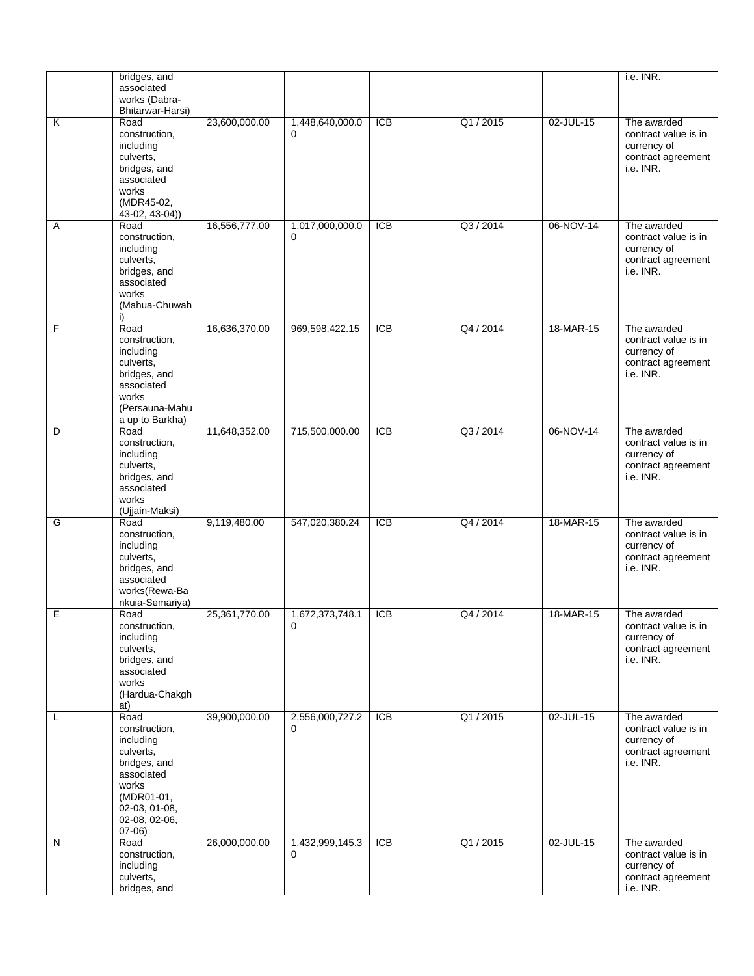|   | bridges, and                                                                                                                                      |               |                             |                  |           |           | i.e. INR.                                                                             |
|---|---------------------------------------------------------------------------------------------------------------------------------------------------|---------------|-----------------------------|------------------|-----------|-----------|---------------------------------------------------------------------------------------|
|   | associated                                                                                                                                        |               |                             |                  |           |           |                                                                                       |
|   | works (Dabra-<br>Bhitarwar-Harsi)                                                                                                                 |               |                             |                  |           |           |                                                                                       |
| Κ | Road<br>construction,<br>including                                                                                                                | 23,600,000.00 | 1,448,640,000.0<br>$\Omega$ | <b>ICB</b>       | Q1 / 2015 | 02-JUL-15 | The awarded<br>contract value is in<br>currency of                                    |
|   | culverts,<br>bridges, and<br>associated<br>works                                                                                                  |               |                             |                  |           |           | contract agreement<br>i.e. INR.                                                       |
|   | (MDR45-02,<br>43-02, 43-04))                                                                                                                      |               |                             |                  |           |           |                                                                                       |
| Α | Road<br>construction,<br>including<br>culverts,<br>bridges, and<br>associated<br>works<br>(Mahua-Chuwah<br>i)                                     | 16,556,777.00 | 1,017,000,000.0<br>$\Omega$ | $\overline{ICB}$ | Q3/2014   | 06-NOV-14 | The awarded<br>contract value is in<br>currency of<br>contract agreement<br>i.e. INR. |
| F | Road<br>construction,<br>including<br>culverts,<br>bridges, and<br>associated<br>works<br>(Persauna-Mahu<br>a up to Barkha)                       | 16,636,370.00 | 969,598,422.15              | <b>ICB</b>       | Q4 / 2014 | 18-MAR-15 | The awarded<br>contract value is in<br>currency of<br>contract agreement<br>i.e. INR. |
| D | Road<br>construction,<br>including<br>culverts,<br>bridges, and<br>associated<br>works<br>(Ujjain-Maksi)                                          | 11,648,352.00 | 715,500,000.00              | $\overline{ICB}$ | Q3 / 2014 | 06-NOV-14 | The awarded<br>contract value is in<br>currency of<br>contract agreement<br>i.e. INR. |
| G | Road<br>construction,<br>including<br>culverts,<br>bridges, and<br>associated<br>works(Rewa-Ba<br>nkuia-Semariya)                                 | 9,119,480.00  | 547,020,380.24              | $\overline{ICB}$ | Q4 / 2014 | 18-MAR-15 | The awarded<br>contract value is in<br>currency of<br>contract agreement<br>i.e. INR. |
| Е | Road<br>construction,<br>including<br>culverts,<br>bridges, and<br>associated<br>works<br>(Hardua-Chakgh<br>at)                                   | 25,361,770.00 | 1,672,373,748.1<br>0        | $\overline{ICB}$ | Q4 / 2014 | 18-MAR-15 | The awarded<br>contract value is in<br>currency of<br>contract agreement<br>i.e. INR. |
| L | Road<br>construction,<br>including<br>culverts,<br>bridges, and<br>associated<br>works<br>(MDR01-01,<br>02-03, 01-08,<br>02-08, 02-06,<br>$07-06$ | 39,900,000.00 | 2,556,000,727.2<br>0        | $\overline{ICB}$ | Q1/2015   | 02-JUL-15 | The awarded<br>contract value is in<br>currency of<br>contract agreement<br>i.e. INR. |
| N | Road<br>construction,<br>including<br>culverts,<br>bridges, and                                                                                   | 26,000,000.00 | 1,432,999,145.3<br>0        | <b>ICB</b>       | Q1 / 2015 | 02-JUL-15 | The awarded<br>contract value is in<br>currency of<br>contract agreement<br>i.e. INR. |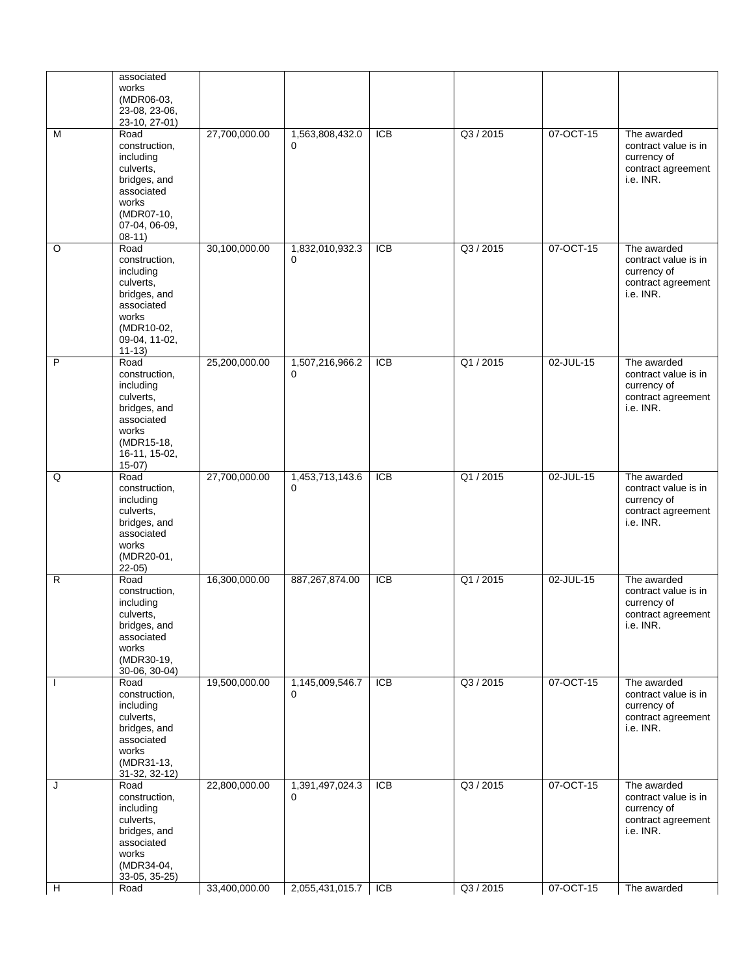|                | associated<br>works<br>(MDR06-03,<br>23-08, 23-06,<br>23-10, 27-01)                                                                |               |                             |                  |           |           |                                                                                       |
|----------------|------------------------------------------------------------------------------------------------------------------------------------|---------------|-----------------------------|------------------|-----------|-----------|---------------------------------------------------------------------------------------|
| M              | Road<br>construction,<br>including<br>culverts,<br>bridges, and<br>associated<br>works<br>(MDR07-10,<br>07-04, 06-09,<br>$08-11)$  | 27,700,000.00 | 1,563,808,432.0<br>0        | <b>ICB</b>       | Q3 / 2015 | 07-OCT-15 | The awarded<br>contract value is in<br>currency of<br>contract agreement<br>i.e. INR. |
| O              | Road<br>construction,<br>including<br>culverts,<br>bridges, and<br>associated<br>works<br>(MDR10-02,<br>09-04, 11-02,<br>$11-13)$  | 30,100,000.00 | 1,832,010,932.3<br>$\Omega$ | $\overline{ICB}$ | Q3 / 2015 | 07-OCT-15 | The awarded<br>contract value is in<br>currency of<br>contract agreement<br>i.e. INR. |
| $\overline{P}$ | Road<br>construction,<br>including<br>culverts,<br>bridges, and<br>associated<br>works<br>(MDR15-18,<br>16-11, 15-02,<br>$15-07$ ) | 25,200,000.00 | 1,507,216,966.2<br>0        | <b>ICB</b>       | Q1/2015   | 02-JUL-15 | The awarded<br>contract value is in<br>currency of<br>contract agreement<br>i.e. INR. |
| Q              | Road<br>construction,<br>including<br>culverts,<br>bridges, and<br>associated<br>works<br>(MDR20-01,<br>$22-05$                    | 27,700,000.00 | 1,453,713,143.6<br>$\Omega$ | $\overline{ICB}$ | Q1/2015   | 02-JUL-15 | The awarded<br>contract value is in<br>currency of<br>contract agreement<br>i.e. INR. |
| R              | Road<br>construction,<br>including<br>culverts,<br>bridges, and<br>associated<br>works<br>(MDR30-19,<br>30-06, 30-04)              | 16,300,000.00 | 887,267,874.00              | $\overline{ICB}$ | Q1 / 2015 | 02-JUL-15 | The awarded<br>contract value is in<br>currency of<br>contract agreement<br>i.e. INR. |
|                | Road<br>construction,<br>including<br>culverts,<br>bridges, and<br>associated<br>works<br>(MDR31-13,<br>31-32, 32-12)              | 19,500,000.00 | 1,145,009,546.7<br>$\Omega$ | $\overline{ICB}$ | Q3 / 2015 | 07-OCT-15 | The awarded<br>contract value is in<br>currency of<br>contract agreement<br>i.e. INR. |
| J              | Road<br>construction,<br>including<br>culverts,<br>bridges, and<br>associated<br>works<br>(MDR34-04,<br>33-05, 35-25)              | 22,800,000.00 | 1,391,497,024.3<br>0        | <b>ICB</b>       | Q3 / 2015 | 07-OCT-15 | The awarded<br>contract value is in<br>currency of<br>contract agreement<br>i.e. INR. |
| Н              | Road                                                                                                                               | 33,400,000.00 | 2,055,431,015.7             | $\overline{C}$   | Q3 / 2015 | 07-OCT-15 | The awarded                                                                           |